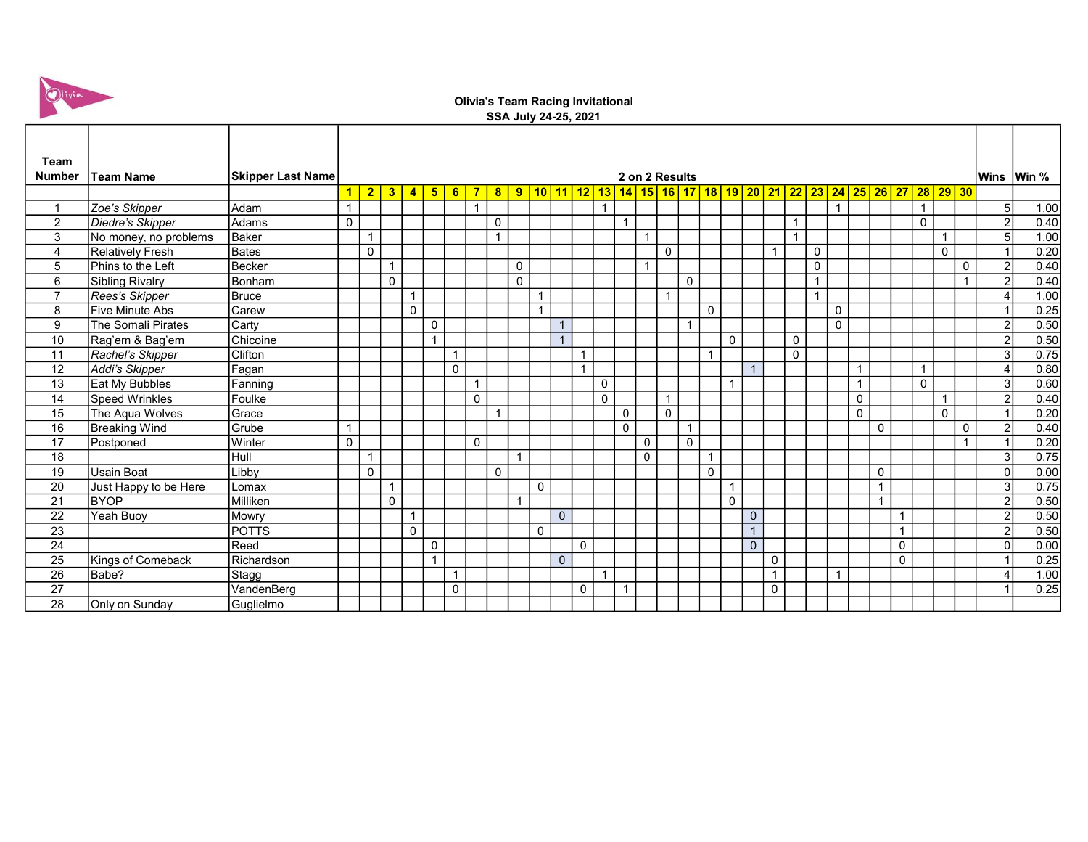

## Olivia's Team Racing Invitational SSA July 24-25, 2021

| Team            |                         |                          |                               |                |                |                         |                |                |                |                |                |              |              |              |                |              |                |                                                                                                            |                         |             |                |                |                |                |                |                |                |              |                |                |                |                |                |      |
|-----------------|-------------------------|--------------------------|-------------------------------|----------------|----------------|-------------------------|----------------|----------------|----------------|----------------|----------------|--------------|--------------|--------------|----------------|--------------|----------------|------------------------------------------------------------------------------------------------------------|-------------------------|-------------|----------------|----------------|----------------|----------------|----------------|----------------|----------------|--------------|----------------|----------------|----------------|----------------|----------------|------|
| <b>Number</b>   | <b>Team Name</b>        | <b>Skipper Last Name</b> | 2 on 2 Results<br><b>Wins</b> |                |                |                         |                |                |                |                |                |              |              |              |                |              | Win %          |                                                                                                            |                         |             |                |                |                |                |                |                |                |              |                |                |                |                |                |      |
|                 |                         |                          | $\blacktriangleleft$          | $\overline{2}$ | 3              | $\overline{\mathbf{4}}$ | 5 <sub>5</sub> | 6              | $\overline{7}$ |                |                |              |              |              |                |              |                | <mark>9   10   11   12   13   14   15   16   17   18   19   20   21   22   23   24   25   26   27  </mark> |                         |             |                |                |                |                |                |                |                |              |                |                | 28 29 30       |                |                |      |
|                 |                         | lAdam                    |                               |                |                |                         |                |                | $\overline{1}$ | 8 <sub>o</sub> |                |              |              |              |                |              |                |                                                                                                            |                         |             |                |                |                |                |                | $\overline{1}$ |                |              |                |                |                |                |                |      |
| $\overline{1}$  | Zoe's Skipper           |                          |                               |                |                |                         |                |                |                |                |                |              |              |              |                |              |                |                                                                                                            |                         |             |                |                |                |                |                |                |                |              |                | $\overline{1}$ |                |                | 5 <sup>1</sup> | 1.00 |
| $\overline{2}$  | Diedre's Skipper        | Adams                    | $\mathbf 0$                   |                |                |                         |                |                |                | $\mathbf 0$    |                |              |              |              |                | $\mathbf{1}$ |                |                                                                                                            |                         |             |                |                |                |                |                |                |                |              |                | $\mathbf{0}$   |                |                | $\mathcal{P}$  | 0.40 |
| 3               | No money, no problems   | <b>Baker</b>             |                               | $\mathbf{1}$   |                |                         |                |                |                | $\overline{1}$ |                |              |              |              |                |              | $\overline{1}$ |                                                                                                            |                         |             |                |                |                | $\overline{1}$ |                |                |                |              |                |                | $\mathbf{1}$   |                | 5 <sup>1</sup> | 1.00 |
| 4               | <b>Relatively Fresh</b> | Bates                    |                               | $\mathbf 0$    |                |                         |                |                |                |                |                |              |              |              |                |              |                | $\mathbf 0$                                                                                                |                         |             |                |                | $\overline{1}$ |                | $\mathbf 0$    |                |                |              |                |                | $\mathbf 0$    |                |                | 0.20 |
| 5               | Phins to the Left       | Becker                   |                               |                | $\overline{1}$ |                         |                |                |                |                | $\mathbf 0$    |              |              |              |                |              |                |                                                                                                            |                         |             |                |                |                |                | $\mathbf 0$    |                |                |              |                |                |                | $\mathbf 0$    | $\overline{2}$ | 0.40 |
| 6               | Sibling Rivalry         | Bonham                   |                               |                | $\mathbf{0}$   |                         |                |                |                |                | $\mathbf{0}$   |              |              |              |                |              |                |                                                                                                            | $\Omega$                |             |                |                |                |                | $\overline{1}$ |                |                |              |                |                |                | $\overline{1}$ | $\mathcal{P}$  | 0.40 |
| $\overline{7}$  | Rees's Skipper          | Bruce                    |                               |                |                | 1                       |                |                |                |                |                | $\mathbf{1}$ |              |              |                |              |                | $\mathbf{1}$                                                                                               |                         |             |                |                |                |                | $\mathbf{1}$   |                |                |              |                |                |                |                |                | 1.00 |
| 8               | Five Minute Abs         | Carew                    |                               |                |                | $\mathbf 0$             |                |                |                |                |                | $\mathbf{1}$ |              |              |                |              |                |                                                                                                            |                         | $\mathbf 0$ |                |                |                |                |                | $\mathbf 0$    |                |              |                |                |                |                |                | 0.25 |
| 9               | The Somali Pirates      | Carty                    |                               |                |                |                         | $\mathbf 0$    |                |                |                |                |              |              |              |                |              |                |                                                                                                            | $\overline{\mathbf{A}}$ |             |                |                |                |                |                | $\mathbf 0$    |                |              |                |                |                |                | 2              | 0.50 |
| 10              | Rag'em & Bag'em         | Chicoine                 |                               |                |                |                         | $\overline{1}$ |                |                |                |                |              |              |              |                |              |                |                                                                                                            |                         |             | $\mathbf{0}$   |                |                | $\mathbf 0$    |                |                |                |              |                |                |                |                | $\overline{2}$ | 0.50 |
| 11              | Rachel's Skipper        | Clifton                  |                               |                |                |                         |                |                |                |                |                |              |              | $\mathbf{1}$ |                |              |                |                                                                                                            |                         | 1           |                |                |                | $\mathbf 0$    |                |                |                |              |                |                |                |                | 3              | 0.75 |
| 12              | Addi's Skipper          | Fagan                    |                               |                |                |                         |                | 0              |                |                |                |              |              | $\mathbf{1}$ |                |              |                |                                                                                                            |                         |             |                | $\overline{1}$ |                |                |                |                | $\overline{1}$ |              |                | $\overline{1}$ |                |                |                | 0.80 |
| 13              | Eat My Bubbles          | Fanning                  |                               |                |                |                         |                |                | $\mathbf{1}$   |                |                |              |              |              | 0              |              |                |                                                                                                            |                         |             | $\overline{1}$ |                |                |                |                |                | 1              |              |                | $\mathbf 0$    |                |                | 3              | 0.60 |
| $\overline{14}$ | <b>Speed Wrinkles</b>   | Foulke                   |                               |                |                |                         |                |                | $\mathbf{0}$   |                |                |              |              |              | $\overline{0}$ |              |                | $\overline{1}$                                                                                             |                         |             |                |                |                |                |                |                | 0              |              |                |                | $\overline{1}$ |                | $\overline{2}$ | 0.40 |
| 15              | The Aqua Wolves         | Grace                    |                               |                |                |                         |                |                |                | $\overline{1}$ |                |              |              |              |                | $\mathbf 0$  |                | $\mathbf{0}$                                                                                               |                         |             |                |                |                |                |                |                | $\Omega$       |              |                |                | $\mathbf{0}$   |                |                | 0.20 |
| $\overline{16}$ | <b>Breaking Wind</b>    | Grube                    | $\overline{1}$                |                |                |                         |                |                |                |                |                |              |              |              |                | $\Omega$     |                |                                                                                                            | $\mathbf{1}$            |             |                |                |                |                |                |                |                | $\mathbf{0}$ |                |                |                | $\mathbf 0$    | $\overline{2}$ | 0.40 |
| 17              | Postponed               | Winter                   | $\pmb{0}$                     |                |                |                         |                |                | $\mathbf 0$    |                |                |              |              |              |                |              | 0              |                                                                                                            | 0                       |             |                |                |                |                |                |                |                |              |                |                |                |                |                | 0.20 |
| 18              |                         | Hull                     |                               | $\mathbf{1}$   |                |                         |                |                |                |                | $\overline{1}$ |              |              |              |                |              | $\mathbf 0$    |                                                                                                            |                         | 1           |                |                |                |                |                |                |                |              |                |                |                |                | $\overline{3}$ | 0.75 |
| $\overline{19}$ | Usain Boat              | Libby                    |                               | $\mathbf{0}$   |                |                         |                |                |                | $\mathbf 0$    |                |              |              |              |                |              |                |                                                                                                            |                         | $\Omega$    |                |                |                |                |                |                |                | $\mathbf 0$  |                |                |                |                | 0              | 0.00 |
| 20              | Just Happy to be Here   | Lomax                    |                               |                | $\overline{1}$ |                         |                |                |                |                |                | $\mathbf 0$  |              |              |                |              |                |                                                                                                            |                         |             | $\mathbf{1}$   |                |                |                |                |                |                | $\mathbf{1}$ |                |                |                |                | $\overline{3}$ | 0.75 |
| 21              | <b>BYOP</b>             | Milliken                 |                               |                | $\pmb{0}$      |                         |                |                |                |                | $\overline{1}$ |              |              |              |                |              |                |                                                                                                            |                         |             | $\mathbf{0}$   |                |                |                |                |                |                | $\mathbf{1}$ |                |                |                |                | $\overline{2}$ | 0.50 |
| $\overline{22}$ | Yeah Buoy               | Mowry                    |                               |                |                | 1                       |                |                |                |                |                |              | $\Omega$     |              |                |              |                |                                                                                                            |                         |             |                | $\mathbf{0}$   |                |                |                |                |                |              | $\overline{1}$ |                |                |                | $\overline{2}$ | 0.50 |
| $\overline{23}$ |                         | <b>POTTS</b>             |                               |                |                | $\Omega$                |                |                |                |                |                | $\mathbf 0$  |              |              |                |              |                |                                                                                                            |                         |             |                | $\overline{1}$ |                |                |                |                |                |              | $\mathbf{1}$   |                |                |                | $\overline{2}$ | 0.50 |
| $\overline{24}$ |                         | Reed                     |                               |                |                |                         | $\mathbf 0$    |                |                |                |                |              |              | $\mathbf{0}$ |                |              |                |                                                                                                            |                         |             |                | $\Omega$       |                |                |                |                |                |              | $\mathbf 0$    |                |                |                | $\Omega$       | 0.00 |
| 25              | Kings of Comeback       | Richardson               |                               |                |                |                         | $\overline{1}$ |                |                |                |                |              | $\mathbf{0}$ |              |                |              |                |                                                                                                            |                         |             |                |                | 0              |                |                |                |                |              | $\mathbf 0$    |                |                |                |                | 0.25 |
| 26              | Babe?                   | Stagg                    |                               |                |                |                         |                | $\overline{ }$ |                |                |                |              |              |              | $\overline{1}$ |              |                |                                                                                                            |                         |             |                |                | $\mathbf{1}$   |                |                | $\mathbf{1}$   |                |              |                |                |                |                |                | 1.00 |
| 27              |                         | VandenBerg               |                               |                |                |                         |                | $\Omega$       |                |                |                |              |              | $\mathbf{0}$ |                | $\mathbf{1}$ |                |                                                                                                            |                         |             |                |                | $\mathbf 0$    |                |                |                |                |              |                |                |                |                |                | 0.25 |
| 28              | Only on Sunday          | Guglielmo                |                               |                |                |                         |                |                |                |                |                |              |              |              |                |              |                |                                                                                                            |                         |             |                |                |                |                |                |                |                |              |                |                |                |                |                |      |